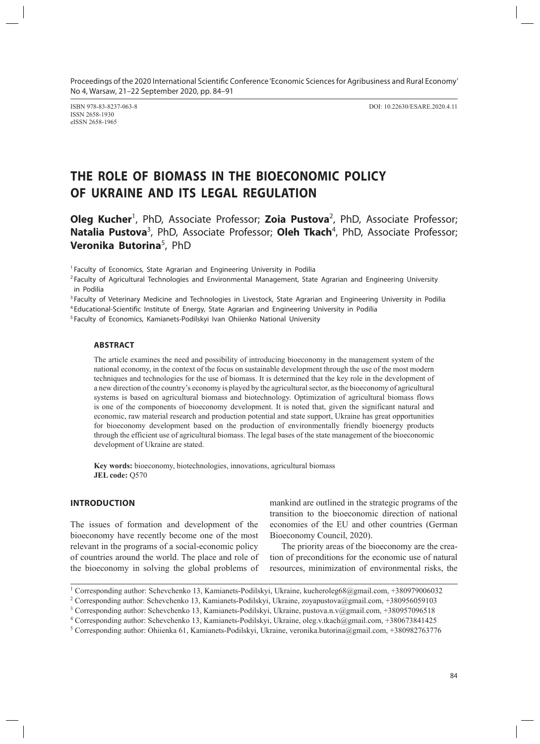ISSN 2658-1930 eISSN 2658-1965

ISBN 978-83-8237-063-8 DOI: 10.22630/ESARE.2020.4.11

# **THE ROLE OF BIOMASS IN THE BIOECONOMIC POLICY OF UKRAINE AND ITS LEGAL REGULATION**

Oleg Kucher<sup>1</sup>, PhD, Associate Professor; Zoia Pustova<sup>2</sup>, PhD, Associate Professor; Natalia Pustova<sup>3</sup>, PhD, Associate Professor; Oleh Tkach<sup>4</sup>, PhD, Associate Professor; **Veronika Butorina**<sup>5</sup> , PhD

<sup>1</sup> Faculty of Economics, State Agrarian and Engineering University in Podilia

<sup>2</sup> Faculty of Agricultural Technologies and Environmental Management, State Agrarian and Engineering University in Podilia

<sup>3</sup> Faculty of Veterinary Medicine and Technologies in Livestock, State Agrarian and Engineering University in Podilia

<sup>4</sup> Educational-Scientific Institute of Energy, State Agrarian and Engineering University in Podilia

<sup>5</sup> Faculty of Economics, Kamianets-Podilskyi Ivan Ohiienko National University

## **ABSTRACT**

The article examines the need and possibility of introducing bioeconomy in the management system of the national economy, in the context of the focus on sustainable development through the use of the most modern techniques and technologies for the use of biomass. It is determined that the key role in the development of a new direction of the country's economy is played by the agricultural sector, as the bioeconomy of agricultural systems is based on agricultural biomass and biotechnology. Optimization of agricultural biomass flows is one of the components of bioeconomy development. It is noted that, given the significant natural and economic, raw material research and production potential and state support, Ukraine has great opportunities for bioeconomy development based on the production of environmentally friendly bioenergy products through the efficient use of agricultural biomass. The legal bases of the state management of the bioeconomic development of Ukraine are stated.

**Key words:** bioeconomy, biotechnologies, innovations, agricultural biomass **JEL code:** Q570

## **INTRODUCTION**

The issues of formation and development of the bioeconomy have recently become one of the most relevant in the programs of a social-economic policy of countries around the world. The place and role of the bioeconomy in solving the global problems of

mankind are outlined in the strategic programs of the transition to the bioeconomic direction of national economies of the EU and other countries (German Bioeconomy Council, 2020).

The priority areas of the bioeconomy are the creation of preconditions for the economic use of natural resources, minimization of environmental risks, the

<sup>&</sup>lt;sup>1</sup> Corresponding author: Schevchenko 13, Kamianets-Podilskyi, Ukraine, kucheroleg68@gmail.com, +380979006032

<sup>&</sup>lt;sup>2</sup> Corresponding author: Schevchenko 13, Kamianets-Podilskyi, Ukraine, zoyapustova@gmail.com, +380956059103

<sup>3</sup> Corresponding author: Schevchenko 13, Kamianets-Podilskyi, Ukraine, pustova.n.v@gmail.com, +380957096518

<sup>4</sup> Corresponding author: Schevchenko 13, Kamianets-Podilskyi, Ukraine, oleg.v.tkach@gmail.com, +380673841425

<sup>5</sup> Corresponding author: Ohiienka 61, Kamianets-Podilskyi, Ukraine, veronika.butorina@gmail.com, +380982763776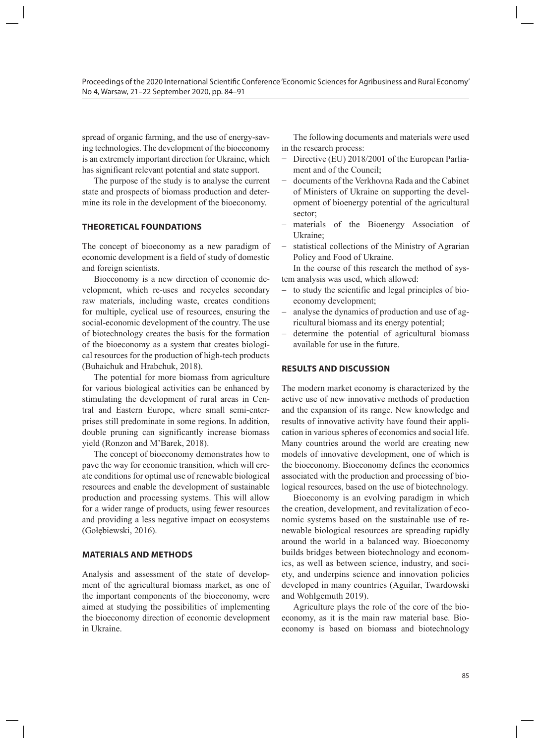spread of organic farming, and the use of energy-saving technologies. The development of the bioeconomy is an extremely important direction for Ukraine, which has significant relevant potential and state support.

The purpose of the study is to analyse the current state and prospects of biomass production and determine its role in the development of the bioeconomy.

# **THEORETICAL FOUNDATIONS**

The concept of bioeconomy as a new paradigm of economic development is a field of study of domestic and foreign scientists.

Bioeconomy is a new direction of economic development, which re-uses and recycles secondary raw materials, including waste, creates conditions for multiple, cyclical use of resources, ensuring the social-economic development of the country. The use of biotechnology creates the basis for the formation of the bioeconomy as a system that creates biological resources for the production of high-tech products (Buhaichuk and Hrabchuk, 2018).

The potential for more biomass from agriculture for various biological activities can be enhanced by stimulating the development of rural areas in Central and Eastern Europe, where small semi-enterprises still predominate in some regions. In addition, double pruning can significantly increase biomass yield (Ronzon and M'Barek, 2018).

The concept of bioeconomy demonstrates how to pave the way for economic transition, which will create conditions for optimal use of renewable biological resources and enable the development of sustainable production and processing systems. This will allow for a wider range of products, using fewer resources and providing a less negative impact on ecosystems (Gołębiewski, 2016).

## **MATERIALS AND METHODS**

Analysis and assessment of the state of development of the agricultural biomass market, as one of the important components of the bioeconomy, were aimed at studying the possibilities of implementing the bioeconomy direction of economic development in Ukraine.

The following documents and materials were used in the research process:

- − Directive (EU) 2018/2001 of the European Parliament and of the Council;
- − documents of the Verkhovna Rada and the Cabinet of Ministers of Ukraine on supporting the development of bioenergy potential of the agricultural sector;
- materials of the Bioenergy Association of Ukraine;
- statistical collections of the Ministry of Agrarian Policy and Food of Ukraine.

In the course of this research the method of system analysis was used, which allowed:

- to study the scientific and legal principles of bioeconomy development;
- − analyse the dynamics of production and use of agricultural biomass and its energy potential;
- − determine the potential of agricultural biomass available for use in the future.

#### **RESULTS AND DISCUSSION**

The modern market economy is characterized by the active use of new innovative methods of production and the expansion of its range. New knowledge and results of innovative activity have found their application in various spheres of economics and social life. Many countries around the world are creating new models of innovative development, one of which is the bioeconomy. Bioeconomy defines the economics associated with the production and processing of biological resources, based on the use of biotechnology.

Bioeconomy is an evolving paradigm in which the creation, development, and revitalization of economic systems based on the sustainable use of renewable biological resources are spreading rapidly around the world in a balanced way. Bioeconomy builds bridges between biotechnology and economics, as well as between science, industry, and society, and underpins science and innovation policies developed in many countries (Aguilar, Twardowski and Wohlgemuth 2019).

Agriculture plays the role of the core of the bioeconomy, as it is the main raw material base. Bioeconomy is based on biomass and biotechnology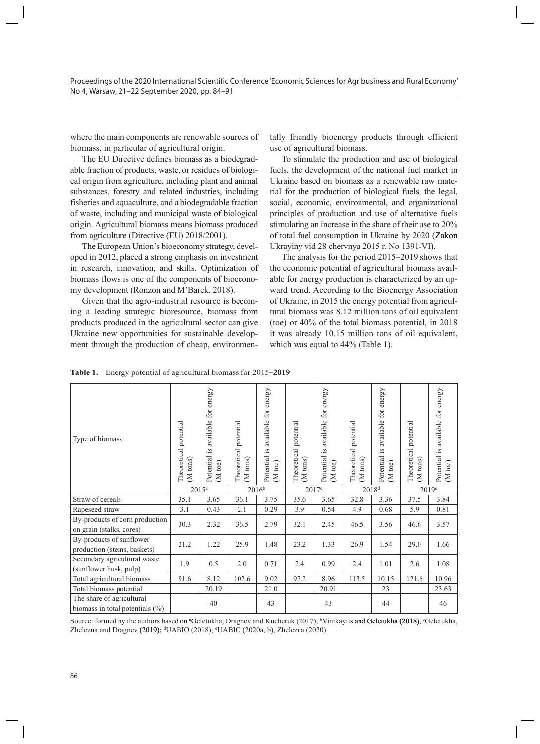where the main components are renewable sources of biomass, in particular of agricultural origin.

The EU Directive defines biomass as a biodegradable fraction of products, waste, or residues of biological origin from agriculture, including plant and animal substances, forestry and related industries, including fisheries and aquaculture, and a biodegradable fraction of waste, including and municipal waste of biological origin. Agricultural biomass means biomass produced from agriculture (Directive (EU) 2018/2001).

The European Union's bioeconomy strategy, developed in 2012, placed a strong emphasis on investment in research, innovation, and skills. Optimization of biomass flows is one of the components of bioeconomy development (Ronzon and M'Barek, 2018).

Given that the agro-industrial resource is becoming a leading strategic bioresource, biomass from products produced in the agricultural sector can give Ukraine new opportunities for sustainable development through the production of cheap, environmentally friendly bioenergy products through efficient use of agricultural biomass.

To stimulate the production and use of biological fuels, the development of the national fuel market in Ukraine based on biomass as a renewable raw material for the production of biological fuels, the legal, social, economic, environmental, and organizational principles of production and use of alternative fuels stimulating an increase in the share of their use to 20% of total fuel consumption in Ukraine by 2020 (Zakon Ukrayiny vid 28 chervnya 2015 r. No 1391-VI).

The analysis for the period 2015–2019 shows that the economic potential of agricultural biomass available for energy production is characterized by an upward trend. According to the Bioenergy Association of Ukraine, in 2015 the energy potential from agricultural biomass was 8.12 million tons of oil equivalent (toe) or 40% of the total biomass potential, in 2018 it was already 10.15 million tons of oil equivalent, which was equal to 44% (Table 1).

| Type of biomass                                                 | Theoretical potential<br>(M tons) | available for energy<br>Potential is<br>$\overline{\text{loc}}$<br><b>N</b> | Theoretical potential<br>(M tons) | Potential is available for energy<br>toe)<br>N | Theoretical potential<br>(M tons) | energy<br>available for<br>Potential is<br>$\overline{\text{be}}$<br><b>N</b> | Theoretical potential<br>(M tons) | available for energy<br>Potential is<br>$\mathfrak{g}$<br>N | Theoretical potential<br>(M tons) | available for energy<br>Potential is<br>$\overline{\text{loc}}$<br>$\overline{z}$ |
|-----------------------------------------------------------------|-----------------------------------|-----------------------------------------------------------------------------|-----------------------------------|------------------------------------------------|-----------------------------------|-------------------------------------------------------------------------------|-----------------------------------|-------------------------------------------------------------|-----------------------------------|-----------------------------------------------------------------------------------|
|                                                                 |                                   | $2015^a$                                                                    |                                   | $2016^{b}$                                     |                                   | 2017c                                                                         |                                   | 2018 <sup>d</sup>                                           |                                   | 2019 <sup>e</sup>                                                                 |
| Straw of cereals                                                | 35.1                              | 3.65                                                                        | 36.1                              | 3.75                                           | 35.6                              | 3.65                                                                          | 32.8                              | 3.36                                                        | 37.5                              | 3.84                                                                              |
| Rapeseed straw                                                  | 3.1                               | 0.43                                                                        | 2.1                               | 0.29                                           | 3.9                               | 0.54                                                                          | 4.9                               | 0.68                                                        | 5.9                               | 0.81                                                                              |
| By-products of corn production<br>on grain (stalks, cores)      | 30.3                              | 2.32                                                                        | 36.5                              | 2.79                                           | 32.1                              | 2.45                                                                          | 46.5                              | 3.56                                                        | 46.6                              | 3.57                                                                              |
| By-products of sunflower<br>production (stems, baskets)         | 21.2                              | 1.22                                                                        | 25.9                              | 1.48                                           | 23.2                              | 1.33                                                                          | 26.9                              | 1.54                                                        | 29.0                              | 1.66                                                                              |
| Secondary agricultural waste<br>(sunflower husk, pulp)          | 1.9                               | 0.5                                                                         | 2.0                               | 0.71                                           | 2.4                               | 0.99                                                                          | 2.4                               | 1.01                                                        | 2.6                               | 1.08                                                                              |
| Total agricultural biomass                                      | 91.6                              | 8.12                                                                        | 102.6                             | 9.02                                           | 97.2                              | 8.96                                                                          | 113.5                             | 10.15                                                       | 121.6                             | 10.96                                                                             |
| Total biomass potential                                         |                                   | 20.19                                                                       |                                   | 21.0                                           |                                   | 20.91                                                                         |                                   | 23                                                          |                                   | 23.63                                                                             |
| The share of agricultural<br>biomass in total potentials $(\%)$ |                                   | 40                                                                          |                                   | 43                                             |                                   | 43                                                                            |                                   | 44                                                          |                                   | 46                                                                                |

Table 1. Energy potential of agricultural biomass for 2015–2019

Source: formed by the authors based on <sup>a</sup>Geletukha, Dragnev and Kucheruk (2017); <sup>b</sup>Vinikaytis and Geletukha (2018); <sup>c</sup>Geletukha, Zhelezna and Dragnev (2019); <sup>d</sup>UABIO (2018); <sup>e</sup>UABIO (2020a, b), Zhelezna (2020).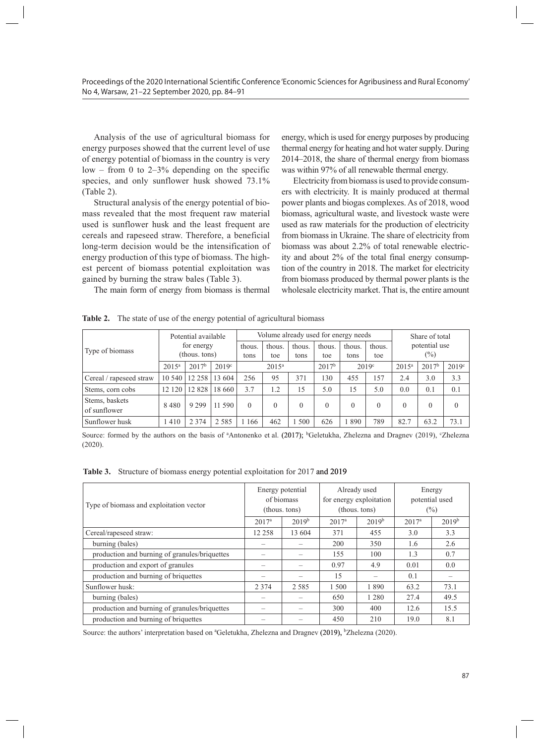Analysis of the use of agricultural biomass for energy purposes showed that the current level of use of energy potential of biomass in the country is very  $low - from 0 to 2-3% depending on the specific$ species, and only sunflower husk showed 73.1% (Table 2).

Structural analysis of the energy potential of biomass revealed that the most frequent raw material used is sunflower husk and the least frequent are cereals and rapeseed straw. Therefore, a beneficial long-term decision would be the intensification of energy production of this type of biomass. The highest percent of biomass potential exploitation was gained by burning the straw bales (Table 3).

The main form of energy from biomass is thermal

energy, which is used for energy purposes by producing thermal energy for heating and hot water supply. During 2014–2018, the share of thermal energy from biomass was within 97% of all renewable thermal energy.

Electricity from biomass is used to provide consumers with electricity. It is mainly produced at thermal power plants and biogas complexes. As of 2018, wood biomass, agricultural waste, and livestock waste were used as raw materials for the production of electricity from biomass in Ukraine. The share of electricity from biomass was about 2.2% of total renewable electricity and about 2% of the total final energy consumption of the country in 2018. The market for electricity from biomass produced by thermal power plants is the wholesale electricity market. That is, the entire amount

|                         | Potential available |               | Volume already used for energy needs |          |                                                 |          |          |                |                   | Share of total |      |          |
|-------------------------|---------------------|---------------|--------------------------------------|----------|-------------------------------------------------|----------|----------|----------------|-------------------|----------------|------|----------|
| Type of biomass         | for energy          |               | thous.                               | thous.   | thous.                                          | thous.   | thous.   | thous.         | potential use     |                |      |          |
|                         |                     | (thous. tons) |                                      | tons     | toe                                             | tons     | toe      | tons           | toe               | $(\%)$         |      |          |
|                         | $2015^a$            | $2017^b$      | 2019 <sup>c</sup>                    |          | $2017^{\rm b}$<br>2019 <sup>c</sup><br>$2015^a$ |          | $2015^a$ | $2017^{\rm b}$ | 2019 <sup>c</sup> |                |      |          |
| Cereal / rapeseed straw | 10 540              | 12 258        | 13 604                               | 256      | 95                                              | 371      | 30       | 455            | 157               | 2.4            | 3.0  | 3.3      |
| Stems, corn cobs        | 12 120              | 12 828        | 18 660                               | 3.7      | 1.2                                             | 15       | 5.0      | 15             | 5.0               | 0.0            | 0.1  | 0.1      |
| Stems, baskets          | 8 4 8 0             | 9 2 9 9       | 11 590                               | $\Omega$ | $\Omega$                                        | $\theta$ | $\Omega$ | $\theta$       | 0                 | $\Omega$       | 0    | $\theta$ |
| of sunflower            |                     |               |                                      |          |                                                 |          |          |                |                   |                |      |          |
| Sunflower husk          | 1410                | 2 3 7 4       | 2 5 8 5                              | 1 166    | 462                                             | 500      | 626      | 890            | 789               | 82.7           | 63.2 | 73.1     |

**Table 2.** The state of use of the energy potential of agricultural biomass

Source: formed by the authors on the basis of <sup>a</sup>Antonenko et al. (2017); <sup>b</sup>Geletukha, Zhelezna and Dragnev (2019), °Zhelezna (2020).

Table 3. Structure of biomass energy potential exploitation for 2017 and 2019

| Type of biomass and exploitation vector       |                   | Energy potential<br>of biomass<br>(thous. tons) |          | Already used<br>for energy exploitation<br>(thous. tons) | Energy<br>potential used<br>$(\%)$ |            |  |
|-----------------------------------------------|-------------------|-------------------------------------------------|----------|----------------------------------------------------------|------------------------------------|------------|--|
|                                               | 2017 <sup>a</sup> | $2019^b$                                        | $2017^a$ | $2019^b$                                                 | 2017 <sup>a</sup>                  | $2019^{b}$ |  |
| Cereal/rapeseed straw:                        | 12 258            | 13 604                                          | 371      | 455                                                      | 3.0                                | 3.3        |  |
| burning (bales)                               |                   |                                                 | 200      | 350                                                      | 1.6                                | 2.6        |  |
| production and burning of granules/briquettes |                   |                                                 | 155      | 100                                                      | 1.3                                | 0.7        |  |
| production and export of granules             |                   |                                                 | 0.97     | 4.9                                                      | 0.01                               | 0.0        |  |
| production and burning of briquettes          |                   |                                                 | 15       |                                                          | 0.1                                |            |  |
| Sunflower husk:                               | 2 3 7 4           | 2 5 8 5                                         | 1 500    | 1890                                                     | 63.2                               | 73.1       |  |
| burning (bales)                               |                   |                                                 | 650      | 1 2 8 0                                                  | 27.4                               | 49.5       |  |
| production and burning of granules/briquettes |                   |                                                 | 300      | 400                                                      | 12.6                               | 15.5       |  |
| production and burning of briquettes          |                   |                                                 | 450      | 210                                                      | 19.0                               | 8.1        |  |

Source: the authors' interpretation based on <sup>a</sup>Geletukha, Zhelezna and Dragnev (2019), <sup>b</sup>Zhelezna (2020).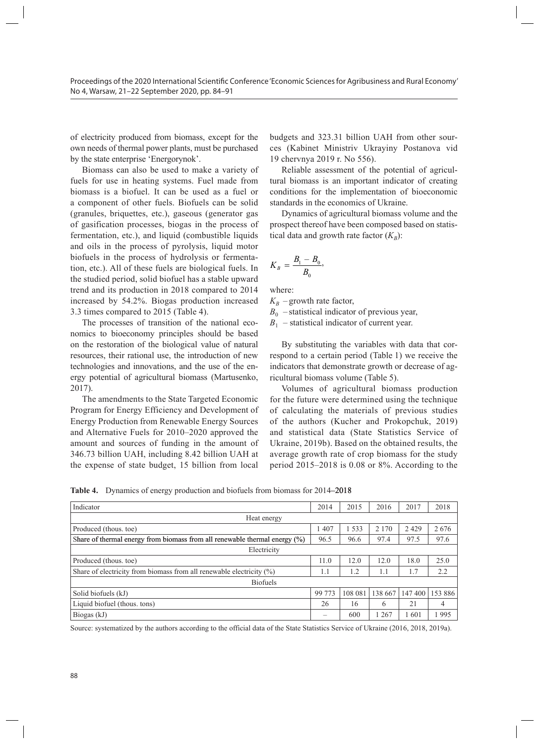of electricity produced from biomass, except for the own needs of thermal power plants, must be purchased by the state enterprise 'Energorynok'.

Biomass can also be used to make a variety of fuels for use in heating systems. Fuel made from biomass is a biofuel. It can be used as a fuel or a component of other fuels. Biofuels can be solid (granules, briquettes, etc.), gaseous (generator gas of gasification processes, biogas in the process of fermentation, etc.), and liquid (combustible liquids and oils in the process of pyrolysis, liquid motor biofuels in the process of hydrolysis or fermentation, etc.). All of these fuels are biological fuels. In the studied period, solid biofuel has a stable upward trend and its production in 2018 compared to 2014 increased by 54.2%. Biogas production increased 3.3 times compared to 2015 (Table 4).

The processes of transition of the national economics to bioeconomy principles should be based on the restoration of the biological value of natural resources, their rational use, the introduction of new technologies and innovations, and the use of the energy potential of agricultural biomass (Martusenko, 2017).

The amendments to the State Targeted Economic Program for Energy Efficiency and Development of Energy Production from Renewable Energy Sources and Alternative Fuels for 2010–2020 approved the amount and sources of funding in the amount of 346.73 billion UAH, including 8.42 billion UAH at the expense of state budget, 15 billion from local

budgets and 323.31 billion UAH from other sources (Kabinet Ministriv Ukrayiny Postanova vid 19 chervnya 2019 r. No 556).

Reliable assessment of the potential of agricultural biomass is an important indicator of creating conditions for the implementation of bioeconomic standards in the economics of Ukraine.

Dynamics of agricultural biomass volume and the prospect thereof have been composed based on statistical data and growth rate factor  $(K_B)$ :

$$
K_B = \frac{B_1 - B_0}{B_0},
$$

where:

 $K_B$  – growth rate factor,

 $B_0$  – statistical indicator of previous year,

 $B_1$  – statistical indicator of current year.

By substituting the variables with data that correspond to a certain period (Table 1) we receive the indicators that demonstrate growth or decrease of agricultural biomass volume (Table 5).

Volumes of agricultural biomass production for the future were determined using the technique of calculating the materials of previous studies of the authors (Kucher and Prokopchuk, 2019) and statistical data (State Statistics Service of Ukraine, 2019b). Based on the obtained results, the average growth rate of crop biomass for the study period 2015–2018 is 0.08 or 8%. According to the

Table 4. Dynamics of energy production and biofuels from biomass for 2014–2018

| Indicator                                                                  | 2014   | 2015    | 2016    | 2017   | 2018    |
|----------------------------------------------------------------------------|--------|---------|---------|--------|---------|
| Heat energy                                                                |        |         |         |        |         |
| Produced (thous. toe)                                                      | 1 407  | 1533    | 2 1 7 0 | 2429   | 2676    |
| Share of thermal energy from biomass from all renewable thermal energy (%) | 96.5   | 96.6    | 97.4    | 97.5   | 97.6    |
| Electricity                                                                |        |         |         |        |         |
| Produced (thous, toe)                                                      | 11.0   | 12.0    | 12.0    | 18.0   | 25.0    |
| Share of electricity from biomass from all renewable electricity $(\%)$    | 1.1    | 1.2     | 1.1     | 1.7    | 2.2     |
| <b>Biofuels</b>                                                            |        |         |         |        |         |
| Solid biofuels (kJ)                                                        | 99 773 | 108 081 | 138 667 | 147400 | 153 886 |
| Liquid biofuel (thous. tons)                                               | 26     | 16      | 6       | 21     | 4       |
| Biogas (kJ)                                                                | -      | 600     | 267     | 1601   | 995     |

Source: systematized by the authors according to the official data of the State Statistics Service of Ukraine (2016, 2018, 2019a).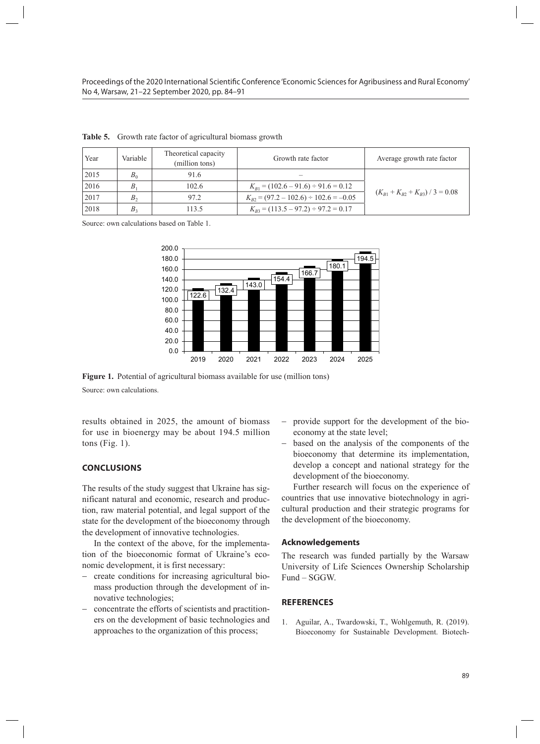| Year   | Variable       | Theoretical capacity<br>(million tons) | Growth rate factor                           | Average growth rate factor      |
|--------|----------------|----------------------------------------|----------------------------------------------|---------------------------------|
| 2015   | $B_0$          | 91.6                                   |                                              |                                 |
| 2016   | Β              | 102.6                                  | $K_{B1} = (102.6 - 91.6) \div 91.6 = 0.12$   |                                 |
| 2017   | $B_{\gamma}$   | 97.2                                   | $K_{B2} = (97.2 - 102.6) \div 102.6 = -0.05$ | $(K_{B1}+K_{B2}+K_{B3})/3=0.08$ |
| 2018   | B <sub>2</sub> | 113.5                                  | $K_{B3} = (113.5 - 97.2) \div 97.2 = 0.17$   |                                 |
| $\sim$ |                | .                                      |                                              |                                 |

**Table 5.** Growth rate factor of agricultural biomass growth **2017 Proprietished in the contrast growth** 

Source: own calculations based on Table 1.



**Figure 1.** Potential of agricultural biomass available for use (million tons) **Figure 1.** Potential of agricultural biomass available for use (million tons) Source: own calculations.

results obtained in 2025, the amount of biomass for use in bioenergy may be about 194.5 million economy at the state level; tons (Fig. 1).

#### **CONCLUSIONS**

The results of the study suggest that Ukraine has significant natural and economic, research and production, raw material potential, and legal support of the state for the development of the bioeconomy through the development of innovative technologies.

In the context of the above, for the implementation of the bioeconomic format of Ukraine's economic development, it is first necessary:

- − create conditions for increasing agricultural biomass production through the development of innovative technologies;
- concentrate the efforts of scientists and practitioners on the development of basic technologies and approaches to the organization of this process;
- 025, the amount of biomass provide support for the development of the bioeconomy at the state level;
	- − based on the analysis of the components of the bioeconomy that determine its implementation, develop a concept and national strategy for the development of the bioeconomy.

Further research will focus on the experience of countries that use innovative biotechnology in agricultural production and their strategic programs for the development of the bioeconomy.

#### **Acknowledgements**

The research was funded partially by the Warsaw University of Life Sciences Ownership Scholarship Fund – SGGW.

#### **REFERENCES**

1. Aguilar, A., Twardowski, T., Wohlgemuth, R. (2019). Bioeconomy for Sustainable Development. Biotech-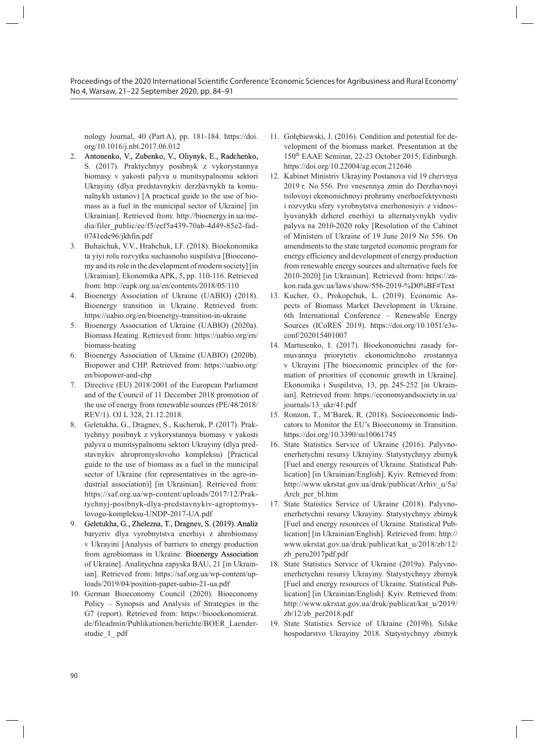nology Journal, 40 (Part A), pp. 181-184. https://doi. org/10.1016/j.nbt.2017.06.012

- 2. �Antonenko, V., �Zubenko, V., �Oliynyk, E., Radchenko, S. (2017). Praktychnyy posibnyk z vykorystannya biomasy v yakosti palyva u munitsypalnomu sektori Ukrayiny (dlya predstavnykiv derzhavnykh ta komunalnykh ustanov) [A practical guide to the use of biomass as a fuel in the municipal sector of Ukraine] [in Ukrainian]. Retrieved from: http://bioenergy.in.ua/media/filer\_public/ee/f5/eef5a439-70ab-4d49-85e2-fad-0741edc96/jkhfin.pdf
- 3. Buhaichuk, V.V., Hrabchuk, I.F. (2018). Bioekonomika ta yiyi rolu rozvytku suchasnoho suspilstva [Bioeconomy and its role in the development of modern society] [in Ukrainian]. Ekonomika APK, 5, pp. 110-116. Retrieved from: http://eapk.org.ua/en/contents/2018/05/110
- 4. Bioenergy Association of Ukraine (UABIO) (2018). Bioenergy transition in Ukraine. Retrieved from: https://uabio.org/en/bioenergy-transition-in-ukraine
- 5. Bioenergy Association of Ukraine (UABIO) (2020a). Biomass Heating. Retrieved from: https://uabio.org/en/ biomass-heating
- 6. Bioenergy Association of Ukraine (UABIO) (2020b). Biopower and CHP. Retrieved from: https://uabio.org/ en/biopower-and-chp
- 7. Directive (EU) 2018/2001 of the European Parliament and of the Council of 11 December 2018 promotion of the use of energy from renewable sources (PE/48/2018/ REV/1). OJ L 328, 21.12.2018.
- 8. Geletukha, G., Dragnev, S., Kucheruk, P. (2017). Praktychnyy posibnyk z vykorystannya biomasy v yakosti palyva u munitsypalnomu sektori Ukrayiny (dlya predstavnykiv ahropromyslovoho kompleksu) [Practical guide to the use of biomass as a fuel in the municipal sector of Ukraine (for representatives in the agro-industrial association)] [in Ukrainian]. Retrieved from: https://saf.org.ua/wp-content/uploads/2017/12/Praktychnyj-posibnyk-dlya-predstavnykiv-agropromyslovogo-kompleksu-UNDP-2017-UA.pdf
- 9. Geletukha, G., Zhelezna, T., Dragnev, S. (2019). Analiz baryeriv dlya vyrobnytstva enerhiyi z ahrobiomasy v Ukrayini [Analysis of barriers to energy production from agrobiomass in Ukraine. Bioenergy Association of Ukraine]. Analitychna zapyska BAU, 21 [in Ukrainian]. Retrieved from: https://saf.org.ua/wp-content/uploads/2019/04/position-paper-uabio-21-ua.pdf
- 10. German Bioeconomy Council (2020). Bioeconomy Policy – Synopsis and Analysis of Strategies in the G7 (report). Retrieved from: https://biooekonomierat. de/fileadmin/Publikationen/berichte/BOER\_Laenderstudie\_1\_.pdf
- 11. Gołębiewski, J. (2016). Condition and potential for development of the biomass market. Presentation at the 150th EAAE Seminar, 22-23 October 2015, Edinburgh. https://doi.org/10.22004/ag.econ.212646
- 12. Kabinet Ministriv Ukrayiny Postanova vid 19 chervnya 2019 r. No 556. Pro vnesennya zmin do Derzhavnoyi tsilovoyi ekonomichnoyi prohramy enerhoefektyvnosti i rozvytku sfery vyrobnytstva enerhonosiyiv z vidnovlyuvanykh dzherel enerhiyi ta alternatyvnykh vydiv palyva na 2010-2020 roky [Resolution of the Cabinet of Ministers of Ukraine of 19 June 2019 No 556. On amendments to the state targeted economic program for energy efficiency and development of energy production from renewable energy sources and alternative fuels for 2010-2020] [in Ukrainian]. Retrieved from: https://zakon.rada.gov.ua/laws/show/556-2019-%D0%BF#Text
- 13. Kucher, O., Prokopchuk, L. (2019). Economic Aspects of Biomass Market Development in Ukraine. 6th International Conference – Renewable Energy Sources (ICoRES 2019). https://doi.org/10.1051/e3sconf/202015401007
- 14. Martusenko, I. (2017). Bioekonomichni zasady formuvannya priorytetiv ekonomichnoho zrostannya v Ukrayini [The bioeconomic principles of the formation of priorities of economic growth in Ukraine]. Ekonomika i Suspilstvo, 13, pp. 245-252 [in Ukrainian]. Retrieved from: https://economyandsociety.in.ua/ journals/13\_ukr/41.pdf
- 15. Ronzon, T., M'Barek, R. (2018). Socioeconomic Indicators to Monitor the EU's Bioeconomy in Transition. https://doi.org/10.3390/su10061745
- 16. State Statistics Service of Ukraine (2016). Palyvnoenerhetychni resursy Ukrayiny. Statystychnyy zbirnyk [Fuel and energy resources of Ukraine. Statistical Publication] [in Ukrainian/English]. Kyiv. Retrieved from: http://www.ukrstat.gov.ua/druk/publicat/Arhiv\_u/5a/ Arch\_per\_bl.htm
- 17. State Statistics Service of Ukraine (2018). Palyvnoenerhetychni resursy Ukrayiny. Statystychnyy zbirnyk [Fuel and energy resources of Ukraine. Statistical Publication] [in Ukrainian/English]. Retrieved from: http:// www.ukrstat.gov.ua/druk/publicat/kat\_u/2018/zb/12/ zb\_peru2017pdf.pdf
- 18. State Statistics Service of Ukraine (2019a). Palyvnoenerhetychni resursy Ukrayiny. Statystychnyy zbirnyk [Fuel and energy resources of Ukraine. Statistical Publication] [in Ukrainian/English]. Kyiv. Retrieved from: http://www.ukrstat.gov.ua/druk/publicat/kat\_u/2019/ zb/12/zb\_per2018.pdf
- 19. State Statistics Service of Ukraine (2019b). Silske hospodarstvo Ukrayiny 2018. Statystychnyy zbirnyk